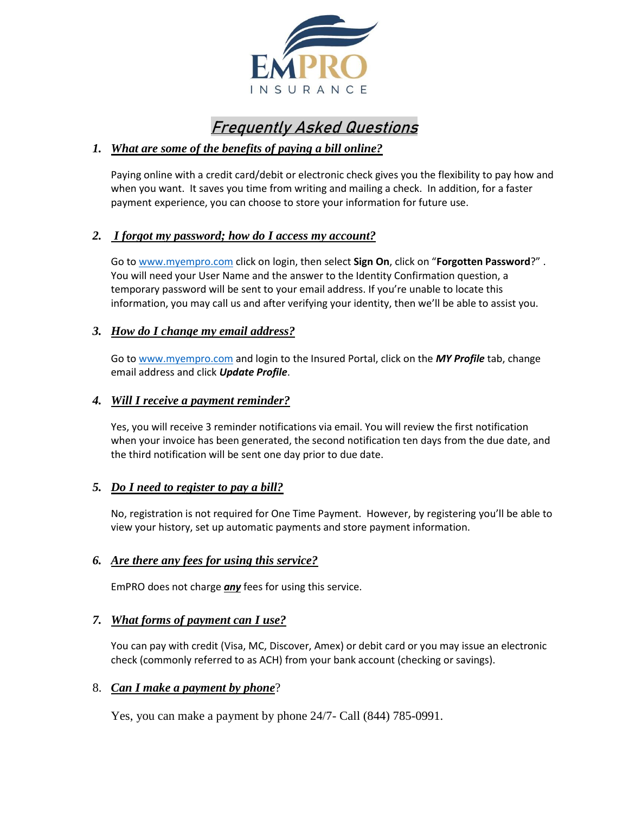

# Frequently Asked Questions

## *1. What are some of the benefits of paying a bill online?*

Paying online with a credit card/debit or electronic check gives you the flexibility to pay how and when you want. It saves you time from writing and mailing a check. In addition, for a faster payment experience, you can choose to store your information for future use.

## *2. I forgot my password; how do I access my account?*

Go to [www.myempro.com](http://www.myempro.com/) click on login, then select **Sign On**, click on "**Forgotten Password**?" . You will need your User Name and the answer to the Identity Confirmation question, a temporary password will be sent to your email address. If you're unable to locate this information, you may call us and after verifying your identity, then we'll be able to assist you.

#### *3. How do I change my email address?*

Go to [www.myempro.com](http://www.myempro.com/) and login to the Insured Portal, click on the *MY Profile* tab, change email address and click *Update Profile*.

#### *4. Will I receive a payment reminder?*

Yes, you will receive 3 reminder notifications via email. You will review the first notification when your invoice has been generated, the second notification ten days from the due date, and the third notification will be sent one day prior to due date.

## *5. Do I need to register to pay a bill?*

No, registration is not required for One Time Payment. However, by registering you'll be able to view your history, set up automatic payments and store payment information.

#### *6. Are there any fees for using this service?*

EmPRO does not charge *any* fees for using this service.

## *7. What forms of payment can I use?*

You can pay with credit (Visa, MC, Discover, Amex) or debit card or you may issue an electronic check (commonly referred to as ACH) from your bank account (checking or savings).

## 8. *Can I make a payment by phone*?

Yes, you can make a payment by phone 24/7- Call (844) 785-0991.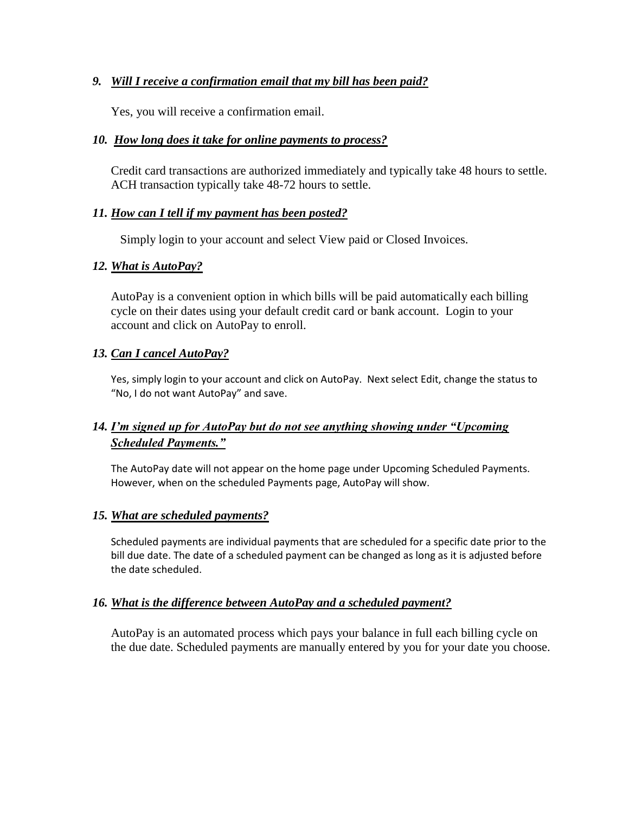## *9. Will I receive a confirmation email that my bill has been paid?*

Yes, you will receive a confirmation email.

## *10. How long does it take for online payments to process?*

Credit card transactions are authorized immediately and typically take 48 hours to settle. ACH transaction typically take 48-72 hours to settle.

#### *11. How can I tell if my payment has been posted?*

Simply login to your account and select View paid or Closed Invoices.

#### *12. What is AutoPay?*

AutoPay is a convenient option in which bills will be paid automatically each billing cycle on their dates using your default credit card or bank account. Login to your account and click on AutoPay to enroll.

#### *13. Can I cancel AutoPay?*

Yes, simply login to your account and click on AutoPay. Next select Edit, change the status to "No, I do not want AutoPay" and save.

# *14. I'm signed up for AutoPay but do not see anything showing under "Upcoming Scheduled Payments."*

The AutoPay date will not appear on the home page under Upcoming Scheduled Payments. However, when on the scheduled Payments page, AutoPay will show.

#### *15. What are scheduled payments?*

Scheduled payments are individual payments that are scheduled for a specific date prior to the bill due date. The date of a scheduled payment can be changed as long as it is adjusted before the date scheduled.

#### *16. What is the difference between AutoPay and a scheduled payment?*

AutoPay is an automated process which pays your balance in full each billing cycle on the due date. Scheduled payments are manually entered by you for your date you choose.